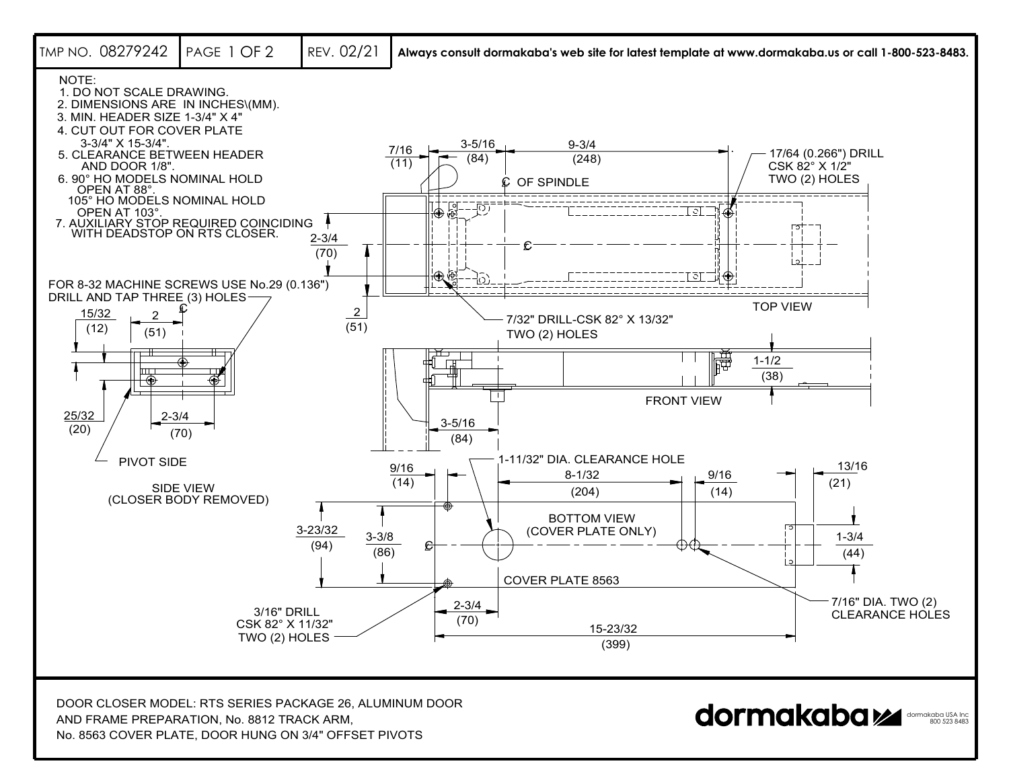

No. 8563 COVER PLATE, DOOR HUNG ON 3/4" OFFSET PIVOTS